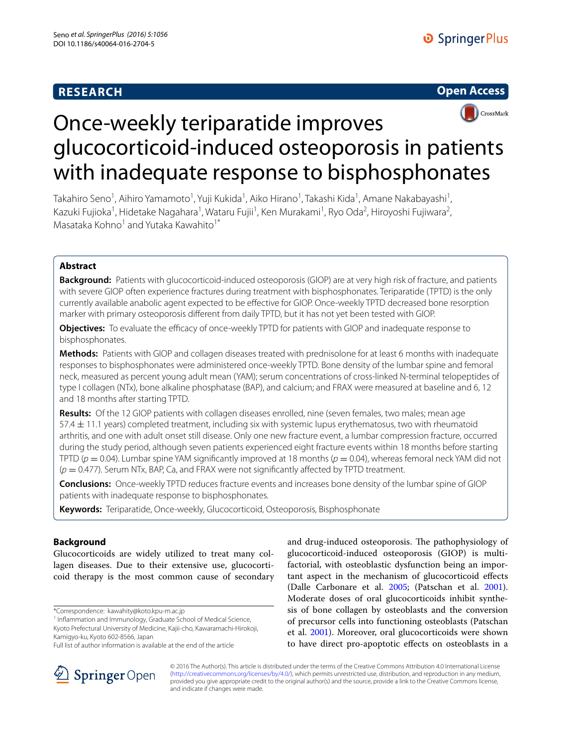# **RESEARCH**





# Once-weekly teriparatide improves glucocorticoid-induced osteoporosis in patients with inadequate response to bisphosphonates

Takahiro Seno<sup>1</sup>, Aihiro Yamamoto<sup>1</sup>, Yuji Kukida<sup>1</sup>, Aiko Hirano<sup>1</sup>, Takashi Kida<sup>1</sup>, Amane Nakabayashi<sup>1</sup>, Kazuki Fujioka<sup>1</sup>, Hidetake Nagahara<sup>1</sup>, Wataru Fujii<sup>1</sup>, Ken Murakami<sup>1</sup>, Ryo Oda<sup>2</sup>, Hiroyoshi Fujiwara<sup>2</sup>, Masataka Kohno<sup>1</sup> and Yutaka Kawahito<sup>1\*</sup>

# **Abstract**

**Background:** Patients with glucocorticoid-induced osteoporosis (GIOP) are at very high risk of fracture, and patients with severe GIOP often experience fractures during treatment with bisphosphonates. Teriparatide (TPTD) is the only currently available anabolic agent expected to be effective for GIOP. Once-weekly TPTD decreased bone resorption marker with primary osteoporosis different from daily TPTD, but it has not yet been tested with GIOP.

**Objectives:** To evaluate the efficacy of once-weekly TPTD for patients with GIOP and inadequate response to bisphosphonates.

**Methods:** Patients with GIOP and collagen diseases treated with prednisolone for at least 6 months with inadequate responses to bisphosphonates were administered once-weekly TPTD. Bone density of the lumbar spine and femoral neck, measured as percent young adult mean (YAM); serum concentrations of cross-linked N-terminal telopeptides of type I collagen (NTx), bone alkaline phosphatase (BAP), and calcium; and FRAX were measured at baseline and 6, 12 and 18 months after starting TPTD.

**Results:** Of the 12 GIOP patients with collagen diseases enrolled, nine (seven females, two males; mean age 57.4  $\pm$  11.1 years) completed treatment, including six with systemic lupus erythematosus, two with rheumatoid arthritis, and one with adult onset still disease. Only one new fracture event, a lumbar compression fracture, occurred during the study period, although seven patients experienced eight fracture events within 18 months before starting TPTD (*p* = 0.04). Lumbar spine YAM significantly improved at 18 months (*p* = 0.04), whereas femoral neck YAM did not (*p* = 0.477). Serum NTx, BAP, Ca, and FRAX were not significantly affected by TPTD treatment.

**Conclusions:** Once-weekly TPTD reduces fracture events and increases bone density of the lumbar spine of GIOP patients with inadequate response to bisphosphonates.

**Keywords:** Teriparatide, Once-weekly, Glucocorticoid, Osteoporosis, Bisphosphonate

## **Background**

Glucocorticoids are widely utilized to treat many collagen diseases. Due to their extensive use, glucocorticoid therapy is the most common cause of secondary

\*Correspondence: kawahity@koto.kpu-m.ac.jp 1

<sup>1</sup> Inflammation and Immunology, Graduate School of Medical Science,

Kyoto Prefectural University of Medicine, Kajii-cho, Kawaramachi-Hirokoji, Kamigyo-ku, Kyoto 602-8566, Japan





© 2016 The Author(s). This article is distributed under the terms of the Creative Commons Attribution 4.0 International License [\(http://creativecommons.org/licenses/by/4.0/\)](http://creativecommons.org/licenses/by/4.0/), which permits unrestricted use, distribution, and reproduction in any medium, provided you give appropriate credit to the original author(s) and the source, provide a link to the Creative Commons license, and indicate if changes were made.

Full list of author information is available at the end of the article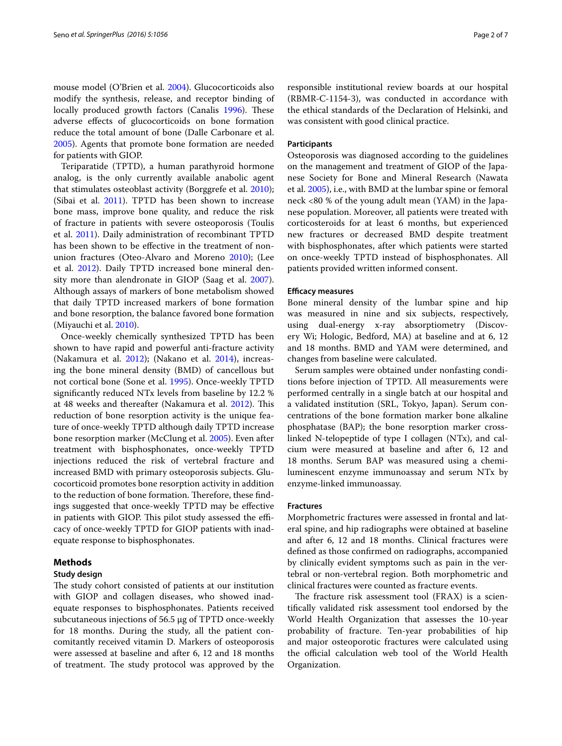mouse model (O'Brien et al. [2004](#page-6-2)). Glucocorticoids also modify the synthesis, release, and receptor binding of locally produced growth factors (Canalis [1996\)](#page-5-0). These adverse effects of glucocorticoids on bone formation reduce the total amount of bone (Dalle Carbonare et al. [2005](#page-6-0)). Agents that promote bone formation are needed for patients with GIOP.

Teriparatide (TPTD), a human parathyroid hormone analog, is the only currently available anabolic agent that stimulates osteoblast activity (Borggrefe et al. [2010](#page-5-1)); (Sibai et al. [2011\)](#page-6-3). TPTD has been shown to increase bone mass, improve bone quality, and reduce the risk of fracture in patients with severe osteoporosis (Toulis et al. [2011](#page-6-4)). Daily administration of recombinant TPTD has been shown to be effective in the treatment of nonunion fractures (Oteo-Alvaro and Moreno [2010\)](#page-6-5); (Lee et al. [2012](#page-6-6)). Daily TPTD increased bone mineral density more than alendronate in GIOP (Saag et al. [2007](#page-6-7)). Although assays of markers of bone metabolism showed that daily TPTD increased markers of bone formation and bone resorption, the balance favored bone formation (Miyauchi et al. [2010\)](#page-6-8).

Once-weekly chemically synthesized TPTD has been shown to have rapid and powerful anti-fracture activity (Nakamura et al. [2012\)](#page-6-9); (Nakano et al. [2014\)](#page-6-10), increasing the bone mineral density (BMD) of cancellous but not cortical bone (Sone et al. [1995\)](#page-6-11). Once-weekly TPTD significantly reduced NTx levels from baseline by 12.2 % at 48 weeks and thereafter (Nakamura et al. [2012](#page-6-9)). This reduction of bone resorption activity is the unique feature of once-weekly TPTD although daily TPTD increase bone resorption marker (McClung et al. [2005\)](#page-6-12). Even after treatment with bisphosphonates, once-weekly TPTD injections reduced the risk of vertebral fracture and increased BMD with primary osteoporosis subjects. Glucocorticoid promotes bone resorption activity in addition to the reduction of bone formation. Therefore, these findings suggested that once-weekly TPTD may be effective in patients with GIOP. This pilot study assessed the efficacy of once-weekly TPTD for GIOP patients with inadequate response to bisphosphonates.

#### **Methods**

#### **Study design**

The study cohort consisted of patients at our institution with GIOP and collagen diseases, who showed inadequate responses to bisphosphonates. Patients received subcutaneous injections of 56.5 μg of TPTD once-weekly for 18 months. During the study, all the patient concomitantly received vitamin D. Markers of osteoporosis were assessed at baseline and after 6, 12 and 18 months of treatment. The study protocol was approved by the responsible institutional review boards at our hospital (RBMR-C-1154-3), was conducted in accordance with the ethical standards of the Declaration of Helsinki, and was consistent with good clinical practice.

#### **Participants**

Osteoporosis was diagnosed according to the guidelines on the management and treatment of GIOP of the Japanese Society for Bone and Mineral Research (Nawata et al. [2005](#page-6-13)), i.e., with BMD at the lumbar spine or femoral neck <80 % of the young adult mean (YAM) in the Japanese population. Moreover, all patients were treated with corticosteroids for at least 6 months, but experienced new fractures or decreased BMD despite treatment with bisphosphonates, after which patients were started on once-weekly TPTD instead of bisphosphonates. All patients provided written informed consent.

#### **Efficacy measures**

Bone mineral density of the lumbar spine and hip was measured in nine and six subjects, respectively, using dual-energy x-ray absorptiometry (Discovery Wi; Hologic, Bedford, MA) at baseline and at 6, 12 and 18 months. BMD and YAM were determined, and changes from baseline were calculated.

Serum samples were obtained under nonfasting conditions before injection of TPTD. All measurements were performed centrally in a single batch at our hospital and a validated institution (SRL, Tokyo, Japan). Serum concentrations of the bone formation marker bone alkaline phosphatase (BAP); the bone resorption marker crosslinked N-telopeptide of type I collagen (NTx), and calcium were measured at baseline and after 6, 12 and 18 months. Serum BAP was measured using a chemiluminescent enzyme immunoassay and serum NTx by enzyme-linked immunoassay.

#### **Fractures**

Morphometric fractures were assessed in frontal and lateral spine, and hip radiographs were obtained at baseline and after 6, 12 and 18 months. Clinical fractures were defined as those confirmed on radiographs, accompanied by clinically evident symptoms such as pain in the vertebral or non-vertebral region. Both morphometric and clinical fractures were counted as fracture events.

The fracture risk assessment tool (FRAX) is a scientifically validated risk assessment tool endorsed by the World Health Organization that assesses the 10-year probability of fracture. Ten-year probabilities of hip and major osteoporotic fractures were calculated using the official calculation web tool of the World Health Organization.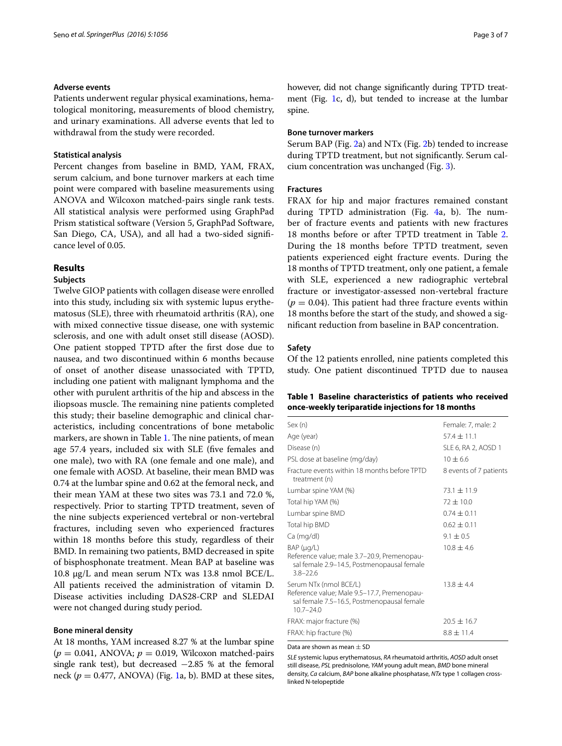#### **Adverse events**

Patients underwent regular physical examinations, hematological monitoring, measurements of blood chemistry, and urinary examinations. All adverse events that led to withdrawal from the study were recorded.

#### **Statistical analysis**

Percent changes from baseline in BMD, YAM, FRAX, serum calcium, and bone turnover markers at each time point were compared with baseline measurements using ANOVA and Wilcoxon matched-pairs single rank tests. All statistical analysis were performed using GraphPad Prism statistical software (Version 5, GraphPad Software, San Diego, CA, USA), and all had a two-sided significance level of 0.05.

#### **Results**

#### **Subjects**

Twelve GIOP patients with collagen disease were enrolled into this study, including six with systemic lupus erythematosus (SLE), three with rheumatoid arthritis (RA), one with mixed connective tissue disease, one with systemic sclerosis, and one with adult onset still disease (AOSD). One patient stopped TPTD after the first dose due to nausea, and two discontinued within 6 months because of onset of another disease unassociated with TPTD, including one patient with malignant lymphoma and the other with purulent arthritis of the hip and abscess in the iliopsoas muscle. The remaining nine patients completed this study; their baseline demographic and clinical characteristics, including concentrations of bone metabolic markers, are shown in Table [1](#page-2-0). The nine patients, of mean age 57.4 years, included six with SLE (five females and one male), two with RA (one female and one male), and one female with AOSD. At baseline, their mean BMD was 0.74 at the lumbar spine and 0.62 at the femoral neck, and their mean YAM at these two sites was 73.1 and 72.0 %, respectively. Prior to starting TPTD treatment, seven of the nine subjects experienced vertebral or non-vertebral fractures, including seven who experienced fractures within 18 months before this study, regardless of their BMD. In remaining two patients, BMD decreased in spite of bisphosphonate treatment. Mean BAP at baseline was 10.8 µg/L and mean serum NTx was 13.8 nmol BCE/L. All patients received the administration of vitamin D. Disease activities including DAS28-CRP and SLEDAI were not changed during study period.

#### **Bone mineral density**

At 18 months, YAM increased 8.27 % at the lumbar spine  $(p = 0.041, ANOVA; p = 0.019, Wilcoxon matched-pairs$ single rank test), but decreased  $-2.85$  % at the femoral neck  $(p = 0.477, ANOVA)$  (Fig. [1a](#page-3-0), b). BMD at these sites, however, did not change significantly during TPTD treatment (Fig. [1](#page-3-0)c, d), but tended to increase at the lumbar spine.

#### **Bone turnover markers**

Serum BAP (Fig. [2a](#page-3-1)) and NTx (Fig. [2](#page-3-1)b) tended to increase during TPTD treatment, but not significantly. Serum calcium concentration was unchanged (Fig. [3](#page-4-0)).

#### **Fractures**

FRAX for hip and major fractures remained constant during TPTD administration (Fig. [4](#page-4-1)a, b). The number of fracture events and patients with new fractures 18 months before or after TPTD treatment in Table [2](#page-5-2). During the 18 months before TPTD treatment, seven patients experienced eight fracture events. During the 18 months of TPTD treatment, only one patient, a female with SLE, experienced a new radiographic vertebral fracture or investigator-assessed non-vertebral fracture  $(p = 0.04)$ . This patient had three fracture events within 18 months before the start of the study, and showed a significant reduction from baseline in BAP concentration.

#### **Safety**

Of the 12 patients enrolled, nine patients completed this study. One patient discontinued TPTD due to nausea

#### <span id="page-2-0"></span>**Table 1 Baseline characteristics of patients who received once-weekly teriparatide injections for 18 months**

| Sex (n)                                                                                                                              | Female: 7, male: 2     |
|--------------------------------------------------------------------------------------------------------------------------------------|------------------------|
| Age (year)                                                                                                                           | $57.4 \pm 11.1$        |
| Disease (n)                                                                                                                          | SLE 6, RA 2, AOSD 1    |
| PSL dose at baseline (mg/day)                                                                                                        | $10 + 6.6$             |
| Fracture events within 18 months before TPTD<br>treatment (n)                                                                        | 8 events of 7 patients |
| Lumbar spine YAM (%)                                                                                                                 | $73.1 \pm 11.9$        |
| Total hip YAM (%)                                                                                                                    | $72 + 10.0$            |
| Lumbar spine BMD                                                                                                                     | $0.74 \pm 0.11$        |
| Total hip BMD                                                                                                                        | $0.62 \pm 0.11$        |
| Ca (mg/dl)                                                                                                                           | $9.1 \pm 0.5$          |
| $BAP$ ( $\mu$ g/L)<br>Reference value; male 3.7-20.9, Premenopau-<br>sal female 2.9-14.5, Postmenopausal female<br>$3.8 - 22.6$      | $10.8 + 4.6$           |
| Serum NTx (nmol BCE/L)<br>Reference value; Male 9.5-17.7, Premenopau-<br>sal female 7.5-16.5, Postmenopausal female<br>$10.7 - 24.0$ | $13.8 + 4.4$           |
| FRAX: major fracture (%)                                                                                                             | $20.5 \pm 16.7$        |
| FRAX: hip fracture (%)                                                                                                               | $8.8 + 11.4$           |

Data are shown as mean  $\pm$  SD

*SLE* systemic lupus erythematosus, *RA* rheumatoid arthritis, *AOSD* adult onset still disease, *PSL* prednisolone, *YAM* young adult mean, *BMD* bone mineral density, *Ca* calcium, *BAP* bone alkaline phosphatase, *NTx* type 1 collagen crosslinked N-telopeptide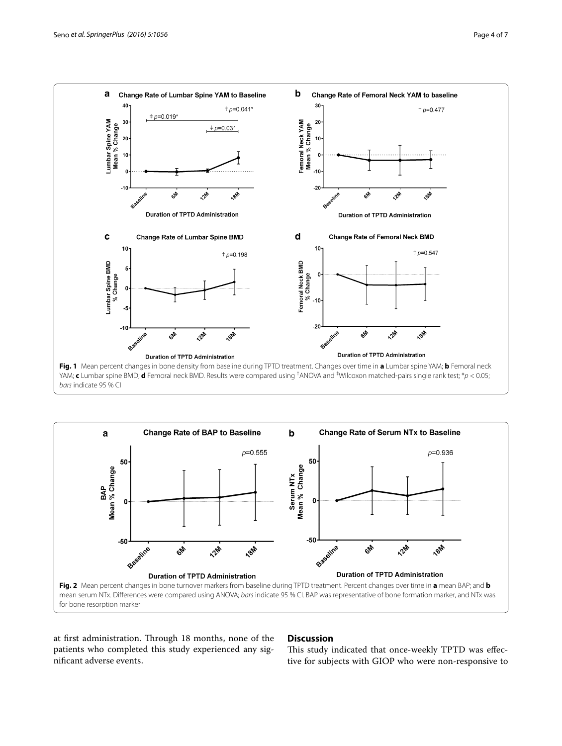

<span id="page-3-0"></span>

<span id="page-3-1"></span>at first administration. Through 18 months, none of the patients who completed this study experienced any significant adverse events.

### **Discussion**

This study indicated that once-weekly TPTD was effective for subjects with GIOP who were non-responsive to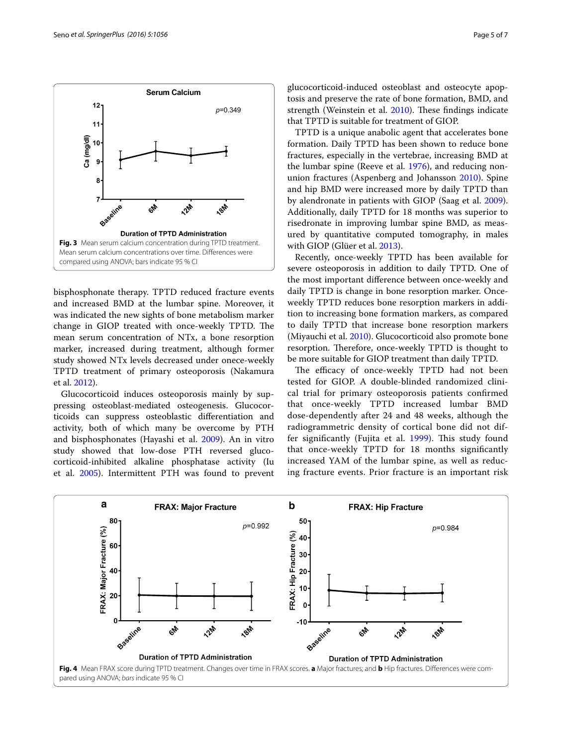<span id="page-4-0"></span>

Glucocorticoid induces osteoporosis mainly by suppressing osteoblast-mediated osteogenesis. Glucocorticoids can suppress osteoblastic differentiation and activity, both of which many be overcome by PTH and bisphosphonates (Hayashi et al. [2009](#page-6-14)). An in vitro study showed that low-dose PTH reversed glucocorticoid-inhibited alkaline phosphatase activity (Iu et al. [2005\)](#page-6-15). Intermittent PTH was found to prevent glucocorticoid-induced osteoblast and osteocyte apoptosis and preserve the rate of bone formation, BMD, and strength (Weinstein et al. [2010\)](#page-6-16). These findings indicate that TPTD is suitable for treatment of GIOP.

TPTD is a unique anabolic agent that accelerates bone formation. Daily TPTD has been shown to reduce bone fractures, especially in the vertebrae, increasing BMD at the lumbar spine (Reeve et al. [1976](#page-6-17)), and reducing nonunion fractures (Aspenberg and Johansson [2010\)](#page-5-3). Spine and hip BMD were increased more by daily TPTD than by alendronate in patients with GIOP (Saag et al. [2009](#page-6-18)). Additionally, daily TPTD for 18 months was superior to risedronate in improving lumbar spine BMD, as measured by quantitative computed tomography, in males with GIOP (Glüer et al. [2013\)](#page-6-19).

Recently, once-weekly TPTD has been available for severe osteoporosis in addition to daily TPTD. One of the most important difference between once-weekly and daily TPTD is change in bone resorption marker. Onceweekly TPTD reduces bone resorption markers in addition to increasing bone formation markers, as compared to daily TPTD that increase bone resorption markers (Miyauchi et al. [2010](#page-6-8)). Glucocorticoid also promote bone resorption. Therefore, once-weekly TPTD is thought to be more suitable for GIOP treatment than daily TPTD.

The efficacy of once-weekly TPTD had not been tested for GIOP. A double-blinded randomized clinical trial for primary osteoporosis patients confirmed that once-weekly TPTD increased lumbar BMD dose-dependently after 24 and 48 weeks, although the radiogrammetric density of cortical bone did not differ significantly (Fujita et al. [1999](#page-6-20)). This study found that once-weekly TPTD for 18 months significantly increased YAM of the lumbar spine, as well as reducing fracture events. Prior fracture is an important risk

<span id="page-4-1"></span>

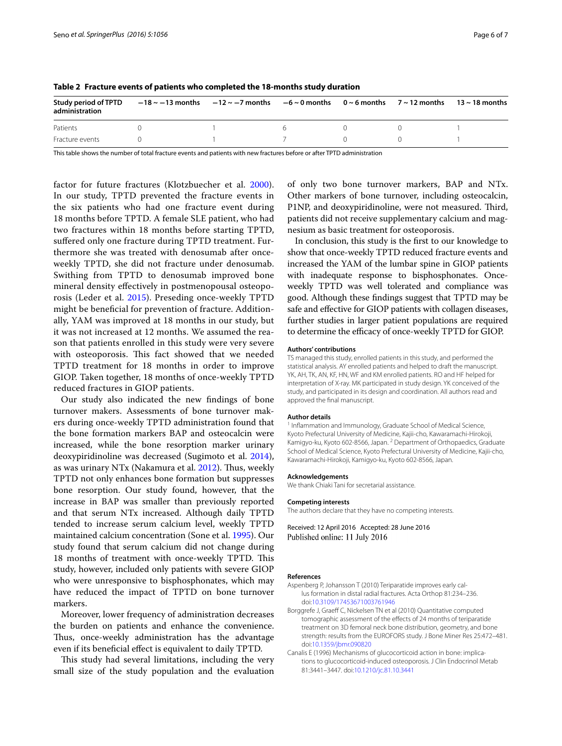| <b>Study period of TPTD</b><br>administration | $-18 \sim -13$ months | $-12 \sim -7$ months | $-6$ $\sim$ 0 months | 0 ~ 6 months | 7 ~ 12 months | 13 ~ 18 months |
|-----------------------------------------------|-----------------------|----------------------|----------------------|--------------|---------------|----------------|
| Patients                                      |                       |                      |                      |              |               |                |
| Fracture events                               |                       |                      |                      |              |               |                |

<span id="page-5-2"></span>**Table 2 Fracture events of patients who completed the 18-months study duration**

This table shows the number of total fracture events and patients with new fractures before or after TPTD administration

factor for future fractures (Klotzbuecher et al. [2000](#page-6-21)). In our study, TPTD prevented the fracture events in the six patients who had one fracture event during 18 months before TPTD. A female SLE patient, who had two fractures within 18 months before starting TPTD, suffered only one fracture during TPTD treatment. Furthermore she was treated with denosumab after onceweekly TPTD, she did not fracture under denosumab. Swithing from TPTD to denosumab improved bone mineral density effectively in postmenopousal osteoporosis (Leder et al. [2015](#page-6-22)). Preseding once-weekly TPTD might be beneficial for prevention of fracture. Additionally, YAM was improved at 18 months in our study, but it was not increased at 12 months. We assumed the reason that patients enrolled in this study were very severe with osteoporosis. This fact showed that we needed TPTD treatment for 18 months in order to improve GIOP. Taken together, 18 months of once-weekly TPTD reduced fractures in GIOP patients.

Our study also indicated the new findings of bone turnover makers. Assessments of bone turnover makers during once-weekly TPTD administration found that the bone formation markers BAP and osteocalcin were increased, while the bone resorption marker urinary deoxypiridinoline was decreased (Sugimoto et al. [2014](#page-6-23)), as was urinary NTx (Nakamura et al. [2012\)](#page-6-9). Thus, weekly TPTD not only enhances bone formation but suppresses bone resorption. Our study found, however, that the increase in BAP was smaller than previously reported and that serum NTx increased. Although daily TPTD tended to increase serum calcium level, weekly TPTD maintained calcium concentration (Sone et al. [1995\)](#page-6-11). Our study found that serum calcium did not change during 18 months of treatment with once-weekly TPTD. This study, however, included only patients with severe GIOP who were unresponsive to bisphosphonates, which may have reduced the impact of TPTD on bone turnover markers.

Moreover, lower frequency of administration decreases the burden on patients and enhance the convenience. Thus, once-weekly administration has the advantage even if its beneficial effect is equivalent to daily TPTD.

This study had several limitations, including the very small size of the study population and the evaluation

of only two bone turnover markers, BAP and NTx. Other markers of bone turnover, including osteocalcin, P1NP, and deoxypiridinoline, were not measured. Third, patients did not receive supplementary calcium and magnesium as basic treatment for osteoporosis.

In conclusion, this study is the first to our knowledge to show that once-weekly TPTD reduced fracture events and increased the YAM of the lumbar spine in GIOP patients with inadequate response to bisphosphonates. Onceweekly TPTD was well tolerated and compliance was good. Although these findings suggest that TPTD may be safe and effective for GIOP patients with collagen diseases, further studies in larger patient populations are required to determine the efficacy of once-weekly TPTD for GIOP.

#### **Authors' contributions**

TS managed this study, enrolled patients in this study, and performed the statistical analysis. AY enrolled patients and helped to draft the manuscript. YK, AH, TK, AN, KF, HN, WF and KM enrolled patients. RO and HF helped for interpretation of X-ray. MK participated in study design. YK conceived of the study, and participated in its design and coordination. All authors read and approved the final manuscript.

#### **Author details**

<sup>1</sup> Inflammation and Immunology, Graduate School of Medical Science, Kyoto Prefectural University of Medicine, Kajii-cho, Kawaramachi-Hirokoji, Kamigyo-ku, Kyoto 602-8566, Japan.<sup>2</sup> Department of Orthopaedics, Graduate School of Medical Science, Kyoto Prefectural University of Medicine, Kajii-cho, Kawaramachi-Hirokoji, Kamigyo-ku, Kyoto 602-8566, Japan.

#### **Acknowledgements**

We thank Chiaki Tani for secretarial assistance.

#### **Competing interests**

The authors declare that they have no competing interests.

Received: 12 April 2016 Accepted: 28 June 2016 Published online: 11 July 2016

#### **References**

- <span id="page-5-3"></span>Aspenberg P, Johansson T (2010) Teriparatide improves early callus formation in distal radial fractures. Acta Orthop 81:234–236. doi:[10.3109/17453671003761946](http://dx.doi.org/10.3109/17453671003761946)
- <span id="page-5-1"></span>Borggrefe J, Graeff C, Nickelsen TN et al (2010) Quantitative computed tomographic assessment of the effects of 24 months of teriparatide treatment on 3D femoral neck bone distribution, geometry, and bone strength: results from the EUROFORS study. J Bone Miner Res 25:472–481. doi:[10.1359/jbmr.090820](http://dx.doi.org/10.1359/jbmr.090820)
- <span id="page-5-0"></span>Canalis E (1996) Mechanisms of glucocorticoid action in bone: implications to glucocorticoid-induced osteoporosis. J Clin Endocrinol Metab 81:3441–3447. doi[:10.1210/jc.81.10.3441](http://dx.doi.org/10.1210/jc.81.10.3441)